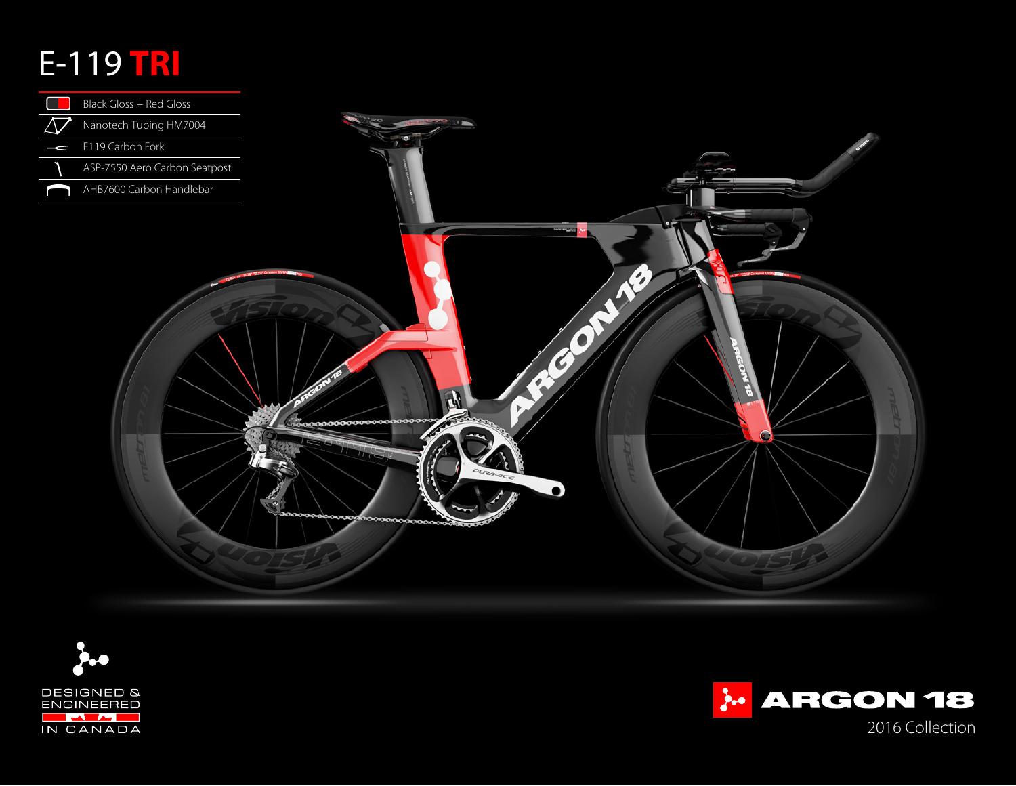## E-119 **TRI**